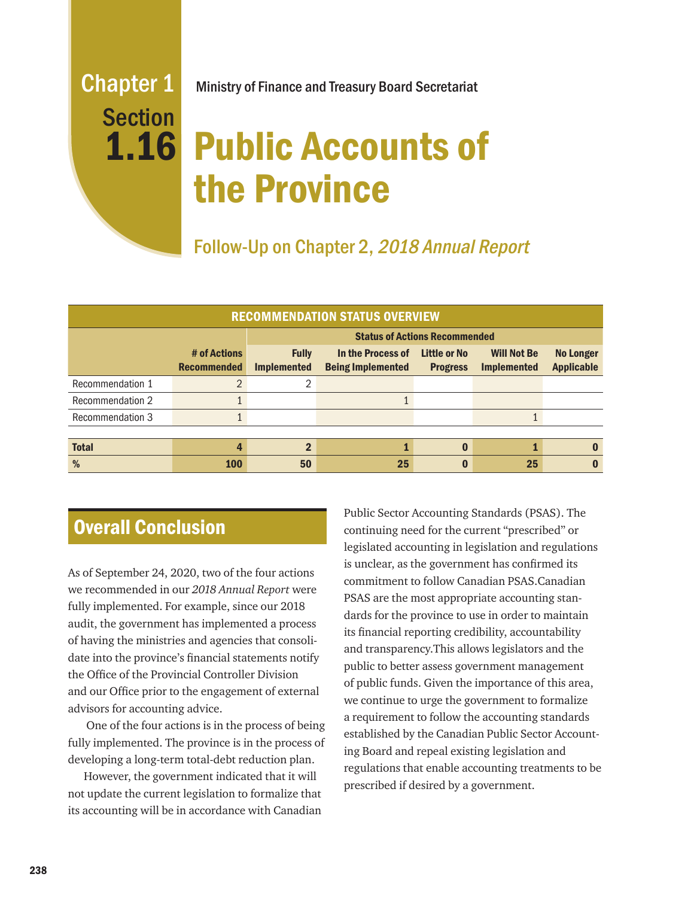# Section

Chapter 1 Ministry of Finance and Treasury Board Secretariat

# 1.16 Public Accounts of the Province

Follow-Up on Chapter 2, 2018 Annual Report

| <b>RECOMMENDATION STATUS OVERVIEW</b> |                                    |                                      |                                               |                                 |                                          |                                       |
|---------------------------------------|------------------------------------|--------------------------------------|-----------------------------------------------|---------------------------------|------------------------------------------|---------------------------------------|
|                                       |                                    | <b>Status of Actions Recommended</b> |                                               |                                 |                                          |                                       |
|                                       | # of Actions<br><b>Recommended</b> | <b>Fully</b><br><b>Implemented</b>   | In the Process of<br><b>Being Implemented</b> | Little or No<br><b>Progress</b> | <b>Will Not Be</b><br><b>Implemented</b> | <b>No Longer</b><br><b>Applicable</b> |
| Recommendation 1                      | $\mathcal{P}$                      | っ                                    |                                               |                                 |                                          |                                       |
| <b>Recommendation 2</b>               |                                    |                                      |                                               |                                 |                                          |                                       |
| <b>Recommendation 3</b>               |                                    |                                      |                                               |                                 |                                          |                                       |
| <b>Total</b>                          |                                    | ŋ                                    |                                               | n                               |                                          |                                       |
| %                                     | <b>100</b>                         | 50                                   | 25                                            | 0                               | 25                                       |                                       |

# Overall Conclusion

As of September 24, 2020, two of the four actions we recommended in our *2018 Annual Report* were fully implemented. For example, since our 2018 audit, the government has implemented a process of having the ministries and agencies that consolidate into the province's financial statements notify the Office of the Provincial Controller Division and our Office prior to the engagement of external advisors for accounting advice.

 One of the four actions is in the process of being fully implemented. The province is in the process of developing a long-term total-debt reduction plan.

However, the government indicated that it will not update the current legislation to formalize that its accounting will be in accordance with Canadian Public Sector Accounting Standards (PSAS). The continuing need for the current "prescribed" or legislated accounting in legislation and regulations is unclear, as the government has confirmed its commitment to follow Canadian PSAS.Canadian PSAS are the most appropriate accounting standards for the province to use in order to maintain its financial reporting credibility, accountability and transparency.This allows legislators and the public to better assess government management of public funds. Given the importance of this area, we continue to urge the government to formalize a requirement to follow the accounting standards established by the Canadian Public Sector Accounting Board and repeal existing legislation and regulations that enable accounting treatments to be prescribed if desired by a government.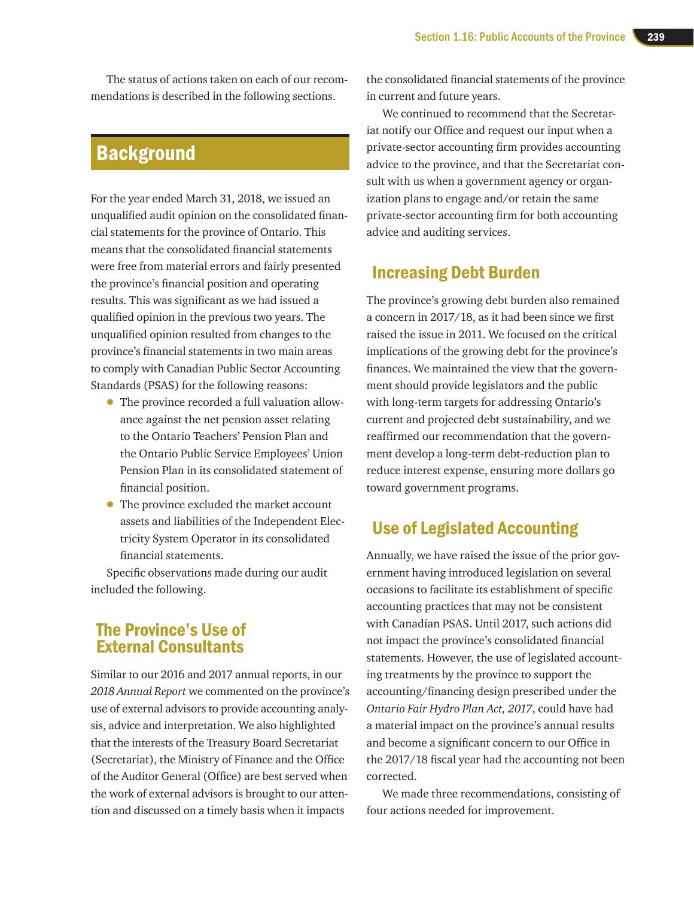The status of actions taken on each of our recommendations is described in the following sections.

# **Background**

For the year ended March 31, 2018, we issued an unqualified audit opinion on the consolidated financial statements for the province of Ontario. This means that the consolidated financial statements were free from material errors and fairly presented the province's financial position and operating results. This was significant as we had issued a qualified opinion in the previous two years. The unqualified opinion resulted from changes to the province's financial statements in two main areas to comply with Canadian Public Sector Accounting Standards (PSAS) for the following reasons:

- The province recorded a full valuation allowance against the net pension asset relating to the Ontario Teachers' Pension Plan and the Ontario Public Service Employees' Union Pension Plan in its consolidated statement of financial position.
- The province excluded the market account assets and liabilities of the Independent Electricity System Operator in its consolidated financial statements.

Specific observations made during our audit included the following.

### The Province's Use of External Consultants

Similar to our 2016 and 2017 annual reports, in our *2018 Annual Report* we commented on the province's use of external advisors to provide accounting analysis, advice and interpretation. We also highlighted that the interests of the Treasury Board Secretariat (Secretariat), the Ministry of Finance and the Office of the Auditor General (Office) are best served when the work of external advisors is brought to our attention and discussed on a timely basis when it impacts

the consolidated financial statements of the province in current and future years.

We continued to recommend that the Secretariat notify our Office and request our input when a private-sector accounting firm provides accounting advice to the province, and that the Secretariat consult with us when a government agency or organization plans to engage and/or retain the same private-sector accounting firm for both accounting advice and auditing services.

# Increasing Debt Burden

The province's growing debt burden also remained a concern in 2017/18, as it had been since we first raised the issue in 2011. We focused on the critical implications of the growing debt for the province's finances. We maintained the view that the government should provide legislators and the public with long-term targets for addressing Ontario's current and projected debt sustainability, and we reaffirmed our recommendation that the government develop a long-term debt-reduction plan to reduce interest expense, ensuring more dollars go toward government programs.

# Use of Legislated Accounting

Annually, we have raised the issue of the prior government having introduced legislation on several occasions to facilitate its establishment of specific accounting practices that may not be consistent with Canadian PSAS. Until 2017, such actions did not impact the province's consolidated financial statements. However, the use of legislated accounting treatments by the province to support the accounting/financing design prescribed under the *Ontario Fair Hydro Plan Act, 2017*, could have had a material impact on the province's annual results and become a significant concern to our Office in the 2017/18 fiscal year had the accounting not been corrected.

We made three recommendations, consisting of four actions needed for improvement.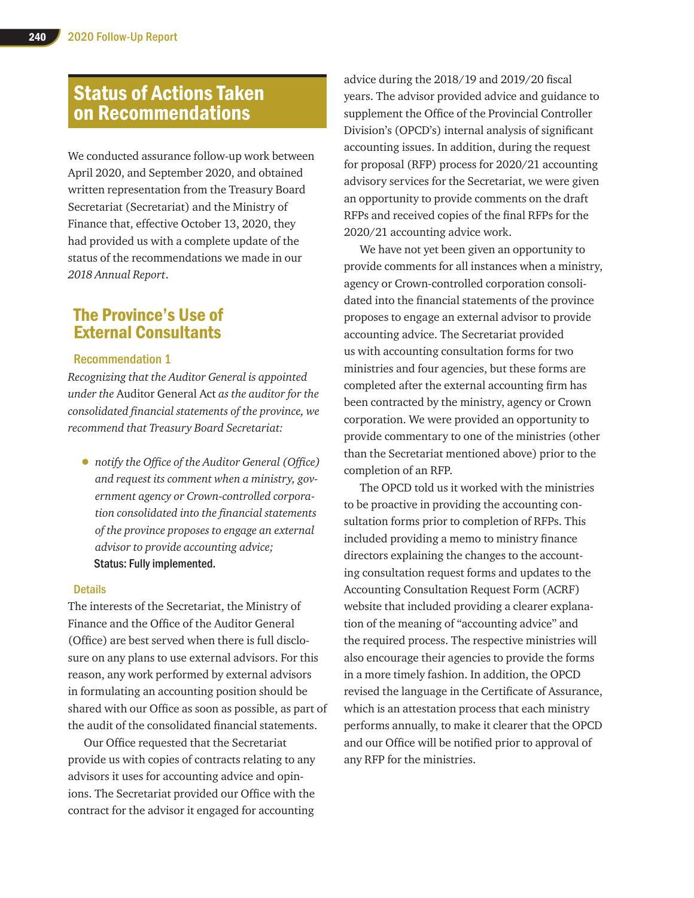# Status of Actions Taken on Recommendations

We conducted assurance follow-up work between April 2020, and September 2020, and obtained written representation from the Treasury Board Secretariat (Secretariat) and the Ministry of Finance that, effective October 13, 2020, they had provided us with a complete update of the status of the recommendations we made in our *2018 Annual Report*.

# The Province's Use of External Consultants

#### Recommendation 1

*Recognizing that the Auditor General is appointed under the* Auditor General Act *as the auditor for the consolidated financial statements of the province, we recommend that Treasury Board Secretariat:*

• *notify the Office of the Auditor General (Office) and request its comment when a ministry, government agency or Crown-controlled corporation consolidated into the financial statements of the province proposes to engage an external advisor to provide accounting advice;*  Status: Fully implemented.

#### **Details**

The interests of the Secretariat, the Ministry of Finance and the Office of the Auditor General (Office) are best served when there is full disclosure on any plans to use external advisors. For this reason, any work performed by external advisors in formulating an accounting position should be shared with our Office as soon as possible, as part of the audit of the consolidated financial statements.

Our Office requested that the Secretariat provide us with copies of contracts relating to any advisors it uses for accounting advice and opinions. The Secretariat provided our Office with the contract for the advisor it engaged for accounting

advice during the 2018/19 and 2019/20 fiscal years. The advisor provided advice and guidance to supplement the Office of the Provincial Controller Division's (OPCD's) internal analysis of significant accounting issues. In addition, during the request for proposal (RFP) process for 2020/21 accounting advisory services for the Secretariat, we were given an opportunity to provide comments on the draft RFPs and received copies of the final RFPs for the 2020/21 accounting advice work.

We have not yet been given an opportunity to provide comments for all instances when a ministry, agency or Crown-controlled corporation consolidated into the financial statements of the province proposes to engage an external advisor to provide accounting advice. The Secretariat provided us with accounting consultation forms for two ministries and four agencies, but these forms are completed after the external accounting firm has been contracted by the ministry, agency or Crown corporation. We were provided an opportunity to provide commentary to one of the ministries (other than the Secretariat mentioned above) prior to the completion of an RFP.

The OPCD told us it worked with the ministries to be proactive in providing the accounting consultation forms prior to completion of RFPs. This included providing a memo to ministry finance directors explaining the changes to the accounting consultation request forms and updates to the Accounting Consultation Request Form (ACRF) website that included providing a clearer explanation of the meaning of "accounting advice" and the required process. The respective ministries will also encourage their agencies to provide the forms in a more timely fashion. In addition, the OPCD revised the language in the Certificate of Assurance, which is an attestation process that each ministry performs annually, to make it clearer that the OPCD and our Office will be notified prior to approval of any RFP for the ministries.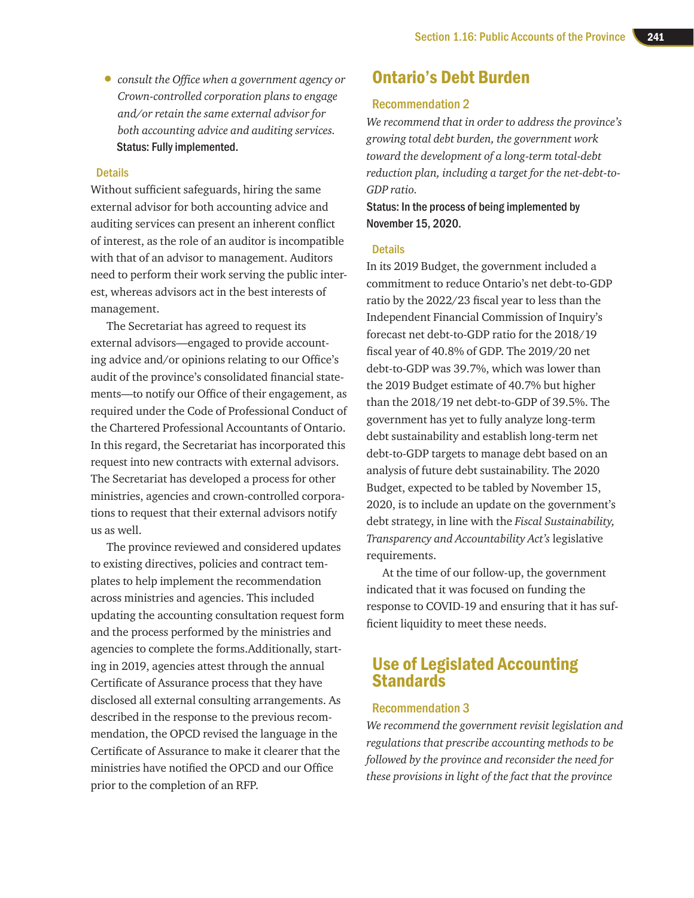• *consult the Office when a government agency or Crown-controlled corporation plans to engage and/or retain the same external advisor for both accounting advice and auditing services.* Status: Fully implemented.

#### **Details**

Without sufficient safeguards, hiring the same external advisor for both accounting advice and auditing services can present an inherent conflict of interest, as the role of an auditor is incompatible with that of an advisor to management. Auditors need to perform their work serving the public interest, whereas advisors act in the best interests of management.

The Secretariat has agreed to request its external advisors—engaged to provide accounting advice and/or opinions relating to our Office's audit of the province's consolidated financial statements—to notify our Office of their engagement, as required under the Code of Professional Conduct of the Chartered Professional Accountants of Ontario. In this regard, the Secretariat has incorporated this request into new contracts with external advisors. The Secretariat has developed a process for other ministries, agencies and crown-controlled corporations to request that their external advisors notify us as well.

The province reviewed and considered updates to existing directives, policies and contract templates to help implement the recommendation across ministries and agencies. This included updating the accounting consultation request form and the process performed by the ministries and agencies to complete the forms.Additionally, starting in 2019, agencies attest through the annual Certificate of Assurance process that they have disclosed all external consulting arrangements. As described in the response to the previous recommendation, the OPCD revised the language in the Certificate of Assurance to make it clearer that the ministries have notified the OPCD and our Office prior to the completion of an RFP.

# Ontario's Debt Burden

#### Recommendation 2

*We recommend that in order to address the province's growing total debt burden, the government work toward the development of a long-term total-debt reduction plan, including a target for the net-debt-to-GDP ratio.* 

Status: In the process of being implemented by November 15, 2020.

#### **Details**

In its 2019 Budget, the government included a commitment to reduce Ontario's net debt-to-GDP ratio by the 2022/23 fiscal year to less than the Independent Financial Commission of Inquiry's forecast net debt-to-GDP ratio for the 2018/19 fiscal year of 40.8% of GDP. The 2019/20 net debt-to-GDP was 39.7%, which was lower than the 2019 Budget estimate of 40.7% but higher than the 2018/19 net debt-to-GDP of 39.5%. The government has yet to fully analyze long-term debt sustainability and establish long-term net debt-to-GDP targets to manage debt based on an analysis of future debt sustainability. The 2020 Budget, expected to be tabled by November 15, 2020, is to include an update on the government's debt strategy, in line with the *Fiscal Sustainability, Transparency and Accountability Act's* legislative requirements.

At the time of our follow-up, the government indicated that it was focused on funding the response to COVID-19 and ensuring that it has sufficient liquidity to meet these needs.

# Use of Legislated Accounting **Standards**

#### Recommendation 3

*We recommend the government revisit legislation and regulations that prescribe accounting methods to be followed by the province and reconsider the need for these provisions in light of the fact that the province*